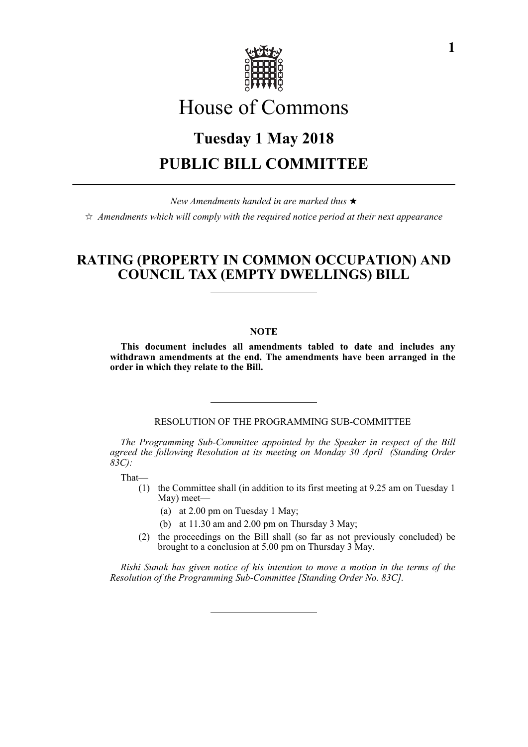

# House of Commons

## **Tuesday 1 May 2018 PUBLIC BILL COMMITTEE**

*New Amendments handed in are marked thus*   $\hat{\varphi}$  Amendments which will comply with the required notice period at their next appearance

### **RATING (PROPERTY IN COMMON OCCUPATION) AND COUNCIL TAX (EMPTY DWELLINGS) BILL**

#### **NOTE**

**This document includes all amendments tabled to date and includes any withdrawn amendments at the end. The amendments have been arranged in the order in which they relate to the Bill.**

RESOLUTION OF THE PROGRAMMING SUB-COMMITTEE

*The Programming Sub-Committee appointed by the Speaker in respect of the Bill agreed the following Resolution at its meeting on Monday 30 April (Standing Order 83C):*

That—

- (1) the Committee shall (in addition to its first meeting at 9.25 am on Tuesday 1 May) meet—
	- (a) at 2.00 pm on Tuesday 1 May;
	- (b) at 11.30 am and 2.00 pm on Thursday 3 May;
- (2) the proceedings on the Bill shall (so far as not previously concluded) be brought to a conclusion at 5.00 pm on Thursday 3 May.

*Rishi Sunak has given notice of his intention to move a motion in the terms of the Resolution of the Programming Sub-Committee [Standing Order No. 83C].*